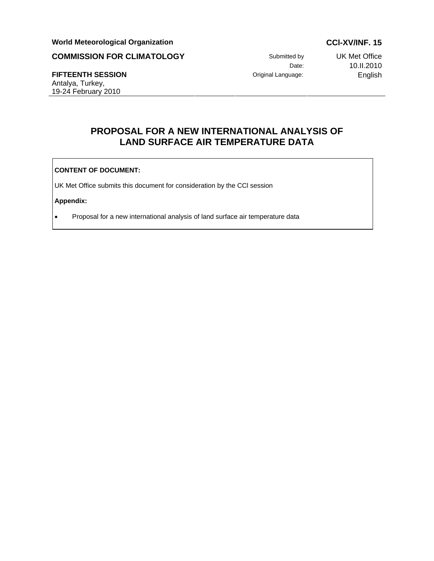# World Meteorological Organization **CCL-XV/INF. 15**

# **COMMISSION FOR CLIMATOLOGY** Submitted by UK Met Office

### **FIFTEENTH SESSION** Original Language: English Antalya, Turkey,

19-24 February 2010

Date: 10.II.2010

# **PROPOSAL FOR A NEW INTERNATIONAL ANALYSIS OF LAND SURFACE AIR TEMPERATURE DATA**

### **CONTENT OF DOCUMENT:**

UK Met Office submits this document for consideration by the CCl session

# **Appendix:**

• Proposal for a new international analysis of land surface air temperature data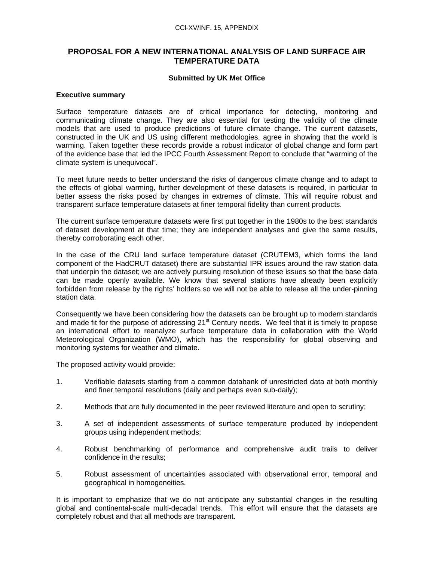# **PROPOSAL FOR A NEW INTERNATIONAL ANALYSIS OF LAND SURFACE AIR TEMPERATURE DATA**

### **Submitted by UK Met Office**

### **Executive summary**

Surface temperature datasets are of critical importance for detecting, monitoring and communicating climate change. They are also essential for testing the validity of the climate models that are used to produce predictions of future climate change. The current datasets, constructed in the UK and US using different methodologies, agree in showing that the world is warming. Taken together these records provide a robust indicator of global change and form part of the evidence base that led the IPCC Fourth Assessment Report to conclude that "warming of the climate system is unequivocal".

To meet future needs to better understand the risks of dangerous climate change and to adapt to the effects of global warming, further development of these datasets is required, in particular to better assess the risks posed by changes in extremes of climate. This will require robust and transparent surface temperature datasets at finer temporal fidelity than current products.

The current surface temperature datasets were first put together in the 1980s to the best standards of dataset development at that time; they are independent analyses and give the same results, thereby corroborating each other.

In the case of the CRU land surface temperature dataset (CRUTEM3, which forms the land component of the HadCRUT dataset) there are substantial IPR issues around the raw station data that underpin the dataset; we are actively pursuing resolution of these issues so that the base data can be made openly available. We know that several stations have already been explicitly forbidden from release by the rights' holders so we will not be able to release all the under-pinning station data.

Consequently we have been considering how the datasets can be brought up to modern standards and made fit for the purpose of addressing  $21<sup>st</sup>$  Century needs. We feel that it is timely to propose an international effort to reanalyze surface temperature data in collaboration with the World Meteorological Organization (WMO), which has the responsibility for global observing and monitoring systems for weather and climate.

The proposed activity would provide:

- 1. Verifiable datasets starting from a common databank of unrestricted data at both monthly and finer temporal resolutions (daily and perhaps even sub-daily);
- 2. Methods that are fully documented in the peer reviewed literature and open to scrutiny;
- 3. A set of independent assessments of surface temperature produced by independent groups using independent methods;
- 4. Robust benchmarking of performance and comprehensive audit trails to deliver confidence in the results;
- 5. Robust assessment of uncertainties associated with observational error, temporal and geographical in homogeneities.

It is important to emphasize that we do not anticipate any substantial changes in the resulting global and continental-scale multi-decadal trends. This effort will ensure that the datasets are completely robust and that all methods are transparent.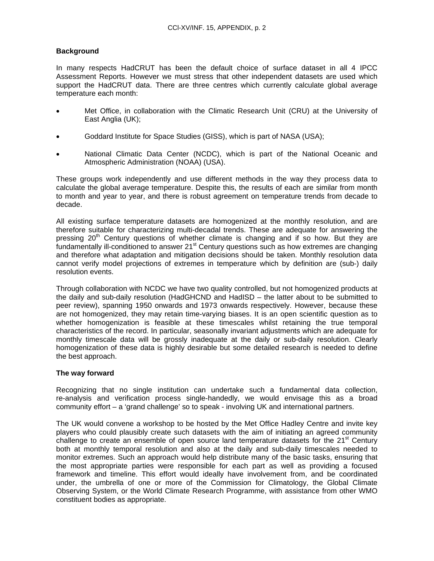# **Background**

In many respects HadCRUT has been the default choice of surface dataset in all 4 IPCC Assessment Reports. However we must stress that other independent datasets are used which support the HadCRUT data. There are three centres which currently calculate global average temperature each month:

- Met Office, in collaboration with the Climatic Research Unit (CRU) at the University of East Anglia (UK);
- Goddard Institute for Space Studies (GISS), which is part of NASA (USA);
- National Climatic Data Center (NCDC), which is part of the National Oceanic and Atmospheric Administration (NOAA) (USA).

These groups work independently and use different methods in the way they process data to calculate the global average temperature. Despite this, the results of each are similar from month to month and year to year, and there is robust agreement on temperature trends from decade to decade.

All existing surface temperature datasets are homogenized at the monthly resolution, and are therefore suitable for characterizing multi-decadal trends. These are adequate for answering the pressing  $20<sup>th</sup>$  Century questions of whether climate is changing and if so how. But they are fundamentally ill-conditioned to answer 21<sup>st</sup> Century questions such as how extremes are changing and therefore what adaptation and mitigation decisions should be taken. Monthly resolution data cannot verify model projections of extremes in temperature which by definition are (sub-) daily resolution events.

Through collaboration with NCDC we have two quality controlled, but not homogenized products at the daily and sub-daily resolution (HadGHCND and HadISD – the latter about to be submitted to peer review), spanning 1950 onwards and 1973 onwards respectively. However, because these are not homogenized, they may retain time-varying biases. It is an open scientific question as to whether homogenization is feasible at these timescales whilst retaining the true temporal characteristics of the record. In particular, seasonally invariant adjustments which are adequate for monthly timescale data will be grossly inadequate at the daily or sub-daily resolution. Clearly homogenization of these data is highly desirable but some detailed research is needed to define the best approach.

### **The way forward**

Recognizing that no single institution can undertake such a fundamental data collection, re-analysis and verification process single-handedly, we would envisage this as a broad community effort – a 'grand challenge' so to speak - involving UK and international partners.

The UK would convene a workshop to be hosted by the Met Office Hadley Centre and invite key players who could plausibly create such datasets with the aim of initiating an agreed community challenge to create an ensemble of open source land temperature datasets for the  $21<sup>st</sup>$  Century both at monthly temporal resolution and also at the daily and sub-daily timescales needed to monitor extremes. Such an approach would help distribute many of the basic tasks, ensuring that the most appropriate parties were responsible for each part as well as providing a focused framework and timeline. This effort would ideally have involvement from, and be coordinated under, the umbrella of one or more of the Commission for Climatology, the Global Climate Observing System, or the World Climate Research Programme, with assistance from other WMO constituent bodies as appropriate.